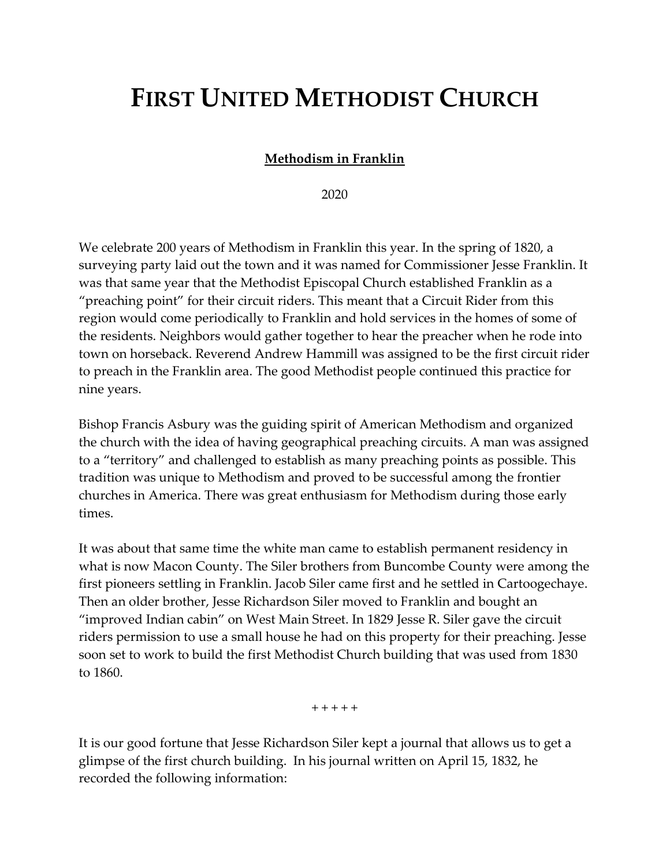## FIRST UNITED METHODIST CHURCH

## Methodism in Franklin

2020

We celebrate 200 years of Methodism in Franklin this year. In the spring of 1820, a surveying party laid out the town and it was named for Commissioner Jesse Franklin. It was that same year that the Methodist Episcopal Church established Franklin as a "preaching point" for their circuit riders. This meant that a Circuit Rider from this region would come periodically to Franklin and hold services in the homes of some of the residents. Neighbors would gather together to hear the preacher when he rode into town on horseback. Reverend Andrew Hammill was assigned to be the first circuit rider to preach in the Franklin area. The good Methodist people continued this practice for nine years.

Bishop Francis Asbury was the guiding spirit of American Methodism and organized the church with the idea of having geographical preaching circuits. A man was assigned to a "territory" and challenged to establish as many preaching points as possible. This tradition was unique to Methodism and proved to be successful among the frontier churches in America. There was great enthusiasm for Methodism during those early times.

It was about that same time the white man came to establish permanent residency in what is now Macon County. The Siler brothers from Buncombe County were among the first pioneers settling in Franklin. Jacob Siler came first and he settled in Cartoogechaye. Then an older brother, Jesse Richardson Siler moved to Franklin and bought an "improved Indian cabin" on West Main Street. In 1829 Jesse R. Siler gave the circuit riders permission to use a small house he had on this property for their preaching. Jesse soon set to work to build the first Methodist Church building that was used from 1830 to 1860.

 $+ + + + +$ 

It is our good fortune that Jesse Richardson Siler kept a journal that allows us to get a glimpse of the first church building. In his journal written on April 15, 1832, he recorded the following information: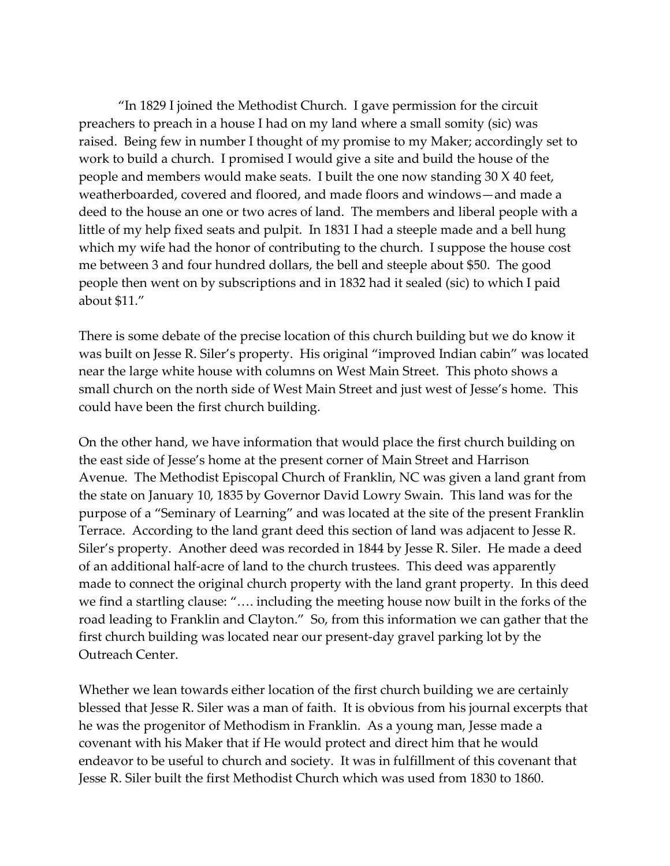"In 1829 I joined the Methodist Church. I gave permission for the circuit preachers to preach in a house I had on my land where a small somity (sic) was raised. Being few in number I thought of my promise to my Maker; accordingly set to work to build a church. I promised I would give a site and build the house of the people and members would make seats. I built the one now standing 30 X 40 feet, weatherboarded, covered and floored, and made floors and windows—and made a deed to the house an one or two acres of land. The members and liberal people with a little of my help fixed seats and pulpit. In 1831 I had a steeple made and a bell hung which my wife had the honor of contributing to the church. I suppose the house cost me between 3 and four hundred dollars, the bell and steeple about \$50. The good people then went on by subscriptions and in 1832 had it sealed (sic) to which I paid about \$11."

There is some debate of the precise location of this church building but we do know it was built on Jesse R. Siler's property. His original "improved Indian cabin" was located near the large white house with columns on West Main Street. This photo shows a small church on the north side of West Main Street and just west of Jesse's home. This could have been the first church building.

On the other hand, we have information that would place the first church building on the east side of Jesse's home at the present corner of Main Street and Harrison Avenue. The Methodist Episcopal Church of Franklin, NC was given a land grant from the state on January 10, 1835 by Governor David Lowry Swain. This land was for the purpose of a "Seminary of Learning" and was located at the site of the present Franklin Terrace. According to the land grant deed this section of land was adjacent to Jesse R. Siler's property. Another deed was recorded in 1844 by Jesse R. Siler. He made a deed of an additional half-acre of land to the church trustees. This deed was apparently made to connect the original church property with the land grant property. In this deed we find a startling clause: "…. including the meeting house now built in the forks of the road leading to Franklin and Clayton." So, from this information we can gather that the first church building was located near our present-day gravel parking lot by the Outreach Center.

Whether we lean towards either location of the first church building we are certainly blessed that Jesse R. Siler was a man of faith. It is obvious from his journal excerpts that he was the progenitor of Methodism in Franklin. As a young man, Jesse made a covenant with his Maker that if He would protect and direct him that he would endeavor to be useful to church and society. It was in fulfillment of this covenant that Jesse R. Siler built the first Methodist Church which was used from 1830 to 1860.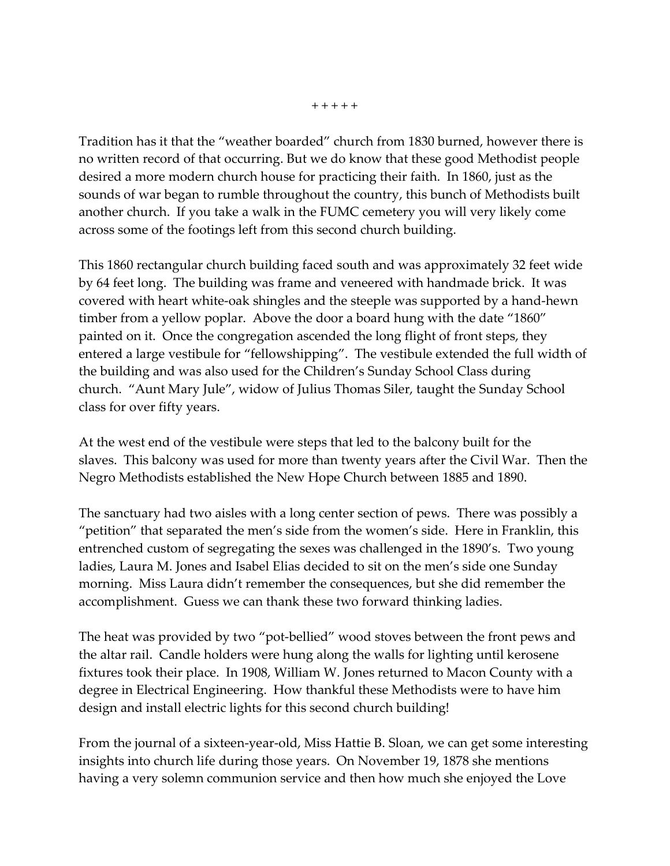Tradition has it that the "weather boarded" church from 1830 burned, however there is no written record of that occurring. But we do know that these good Methodist people desired a more modern church house for practicing their faith. In 1860, just as the sounds of war began to rumble throughout the country, this bunch of Methodists built another church. If you take a walk in the FUMC cemetery you will very likely come across some of the footings left from this second church building.

This 1860 rectangular church building faced south and was approximately 32 feet wide by 64 feet long. The building was frame and veneered with handmade brick. It was covered with heart white-oak shingles and the steeple was supported by a hand-hewn timber from a yellow poplar. Above the door a board hung with the date "1860" painted on it. Once the congregation ascended the long flight of front steps, they entered a large vestibule for "fellowshipping". The vestibule extended the full width of the building and was also used for the Children's Sunday School Class during church. "Aunt Mary Jule", widow of Julius Thomas Siler, taught the Sunday School class for over fifty years.

At the west end of the vestibule were steps that led to the balcony built for the slaves. This balcony was used for more than twenty years after the Civil War. Then the Negro Methodists established the New Hope Church between 1885 and 1890.

The sanctuary had two aisles with a long center section of pews. There was possibly a "petition" that separated the men's side from the women's side. Here in Franklin, this entrenched custom of segregating the sexes was challenged in the 1890's. Two young ladies, Laura M. Jones and Isabel Elias decided to sit on the men's side one Sunday morning. Miss Laura didn't remember the consequences, but she did remember the accomplishment. Guess we can thank these two forward thinking ladies.

The heat was provided by two "pot-bellied" wood stoves between the front pews and the altar rail. Candle holders were hung along the walls for lighting until kerosene fixtures took their place. In 1908, William W. Jones returned to Macon County with a degree in Electrical Engineering. How thankful these Methodists were to have him design and install electric lights for this second church building!

From the journal of a sixteen-year-old, Miss Hattie B. Sloan, we can get some interesting insights into church life during those years. On November 19, 1878 she mentions having a very solemn communion service and then how much she enjoyed the Love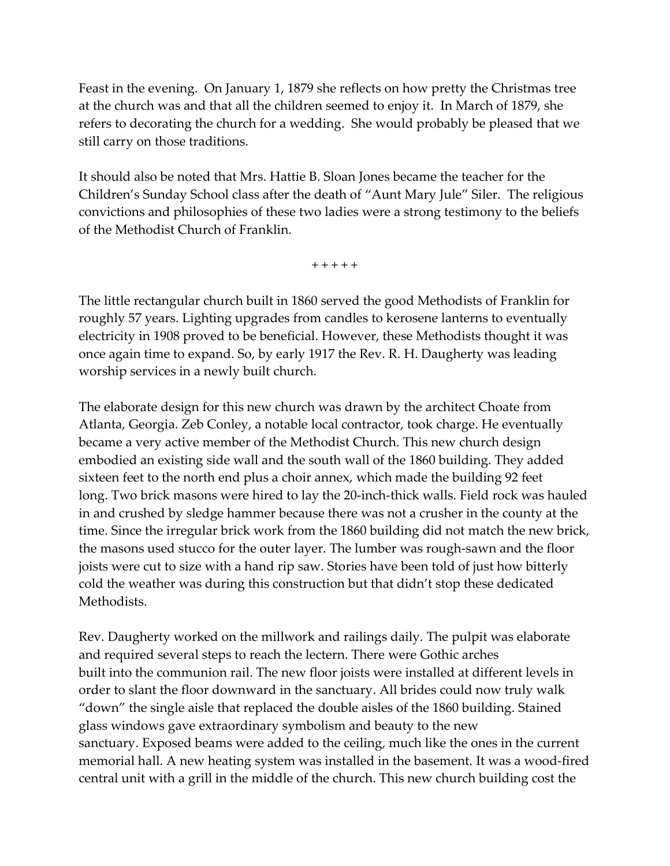Feast in the evening. On January 1, 1879 she reflects on how pretty the Christmas tree at the church was and that all the children seemed to enjoy it. In March of 1879, she refers to decorating the church for a wedding. She would probably be pleased that we still carry on those traditions.

It should also be noted that Mrs. Hattie B. Sloan Jones became the teacher for the Children's Sunday School class after the death of "Aunt Mary Jule" Siler. The religious convictions and philosophies of these two ladies were a strong testimony to the beliefs of the Methodist Church of Franklin.

+ + + + +

The little rectangular church built in 1860 served the good Methodists of Franklin for roughly 57 years. Lighting upgrades from candles to kerosene lanterns to eventually electricity in 1908 proved to be beneficial. However, these Methodists thought it was once again time to expand. So, by early 1917 the Rev. R. H. Daugherty was leading worship services in a newly built church.

The elaborate design for this new church was drawn by the architect Choate from Atlanta, Georgia. Zeb Conley, a notable local contractor, took charge. He eventually became a very active member of the Methodist Church. This new church design embodied an existing side wall and the south wall of the 1860 building. They added sixteen feet to the north end plus a choir annex, which made the building 92 feet long. Two brick masons were hired to lay the 20-inch-thick walls. Field rock was hauled in and crushed by sledge hammer because there was not a crusher in the county at the time. Since the irregular brick work from the 1860 building did not match the new brick, the masons used stucco for the outer layer. The lumber was rough-sawn and the floor joists were cut to size with a hand rip saw. Stories have been told of just how bitterly cold the weather was during this construction but that didn't stop these dedicated Methodists.

Rev. Daugherty worked on the millwork and railings daily. The pulpit was elaborate and required several steps to reach the lectern. There were Gothic arches built into the communion rail. The new floor joists were installed at different levels in order to slant the floor downward in the sanctuary. All brides could now truly walk "down" the single aisle that replaced the double aisles of the 1860 building. Stained glass windows gave extraordinary symbolism and beauty to the new sanctuary. Exposed beams were added to the ceiling, much like the ones in the current memorial hall. A new heating system was installed in the basement. It was a wood-fired central unit with a grill in the middle of the church. This new church building cost the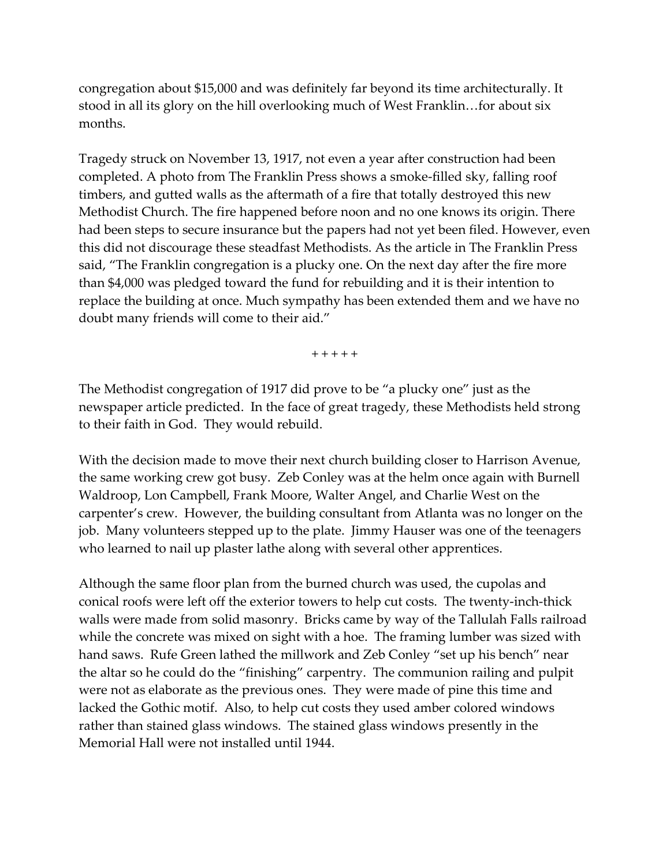congregation about \$15,000 and was definitely far beyond its time architecturally. It stood in all its glory on the hill overlooking much of West Franklin…for about six months.

Tragedy struck on November 13, 1917, not even a year after construction had been completed. A photo from The Franklin Press shows a smoke-filled sky, falling roof timbers, and gutted walls as the aftermath of a fire that totally destroyed this new Methodist Church. The fire happened before noon and no one knows its origin. There had been steps to secure insurance but the papers had not yet been filed. However, even this did not discourage these steadfast Methodists. As the article in The Franklin Press said, "The Franklin congregation is a plucky one. On the next day after the fire more than \$4,000 was pledged toward the fund for rebuilding and it is their intention to replace the building at once. Much sympathy has been extended them and we have no doubt many friends will come to their aid."

+ + + + +

The Methodist congregation of 1917 did prove to be "a plucky one" just as the newspaper article predicted. In the face of great tragedy, these Methodists held strong to their faith in God. They would rebuild.

With the decision made to move their next church building closer to Harrison Avenue, the same working crew got busy. Zeb Conley was at the helm once again with Burnell Waldroop, Lon Campbell, Frank Moore, Walter Angel, and Charlie West on the carpenter's crew. However, the building consultant from Atlanta was no longer on the job. Many volunteers stepped up to the plate. Jimmy Hauser was one of the teenagers who learned to nail up plaster lathe along with several other apprentices.

Although the same floor plan from the burned church was used, the cupolas and conical roofs were left off the exterior towers to help cut costs. The twenty-inch-thick walls were made from solid masonry. Bricks came by way of the Tallulah Falls railroad while the concrete was mixed on sight with a hoe. The framing lumber was sized with hand saws. Rufe Green lathed the millwork and Zeb Conley "set up his bench" near the altar so he could do the "finishing" carpentry. The communion railing and pulpit were not as elaborate as the previous ones. They were made of pine this time and lacked the Gothic motif. Also, to help cut costs they used amber colored windows rather than stained glass windows. The stained glass windows presently in the Memorial Hall were not installed until 1944.